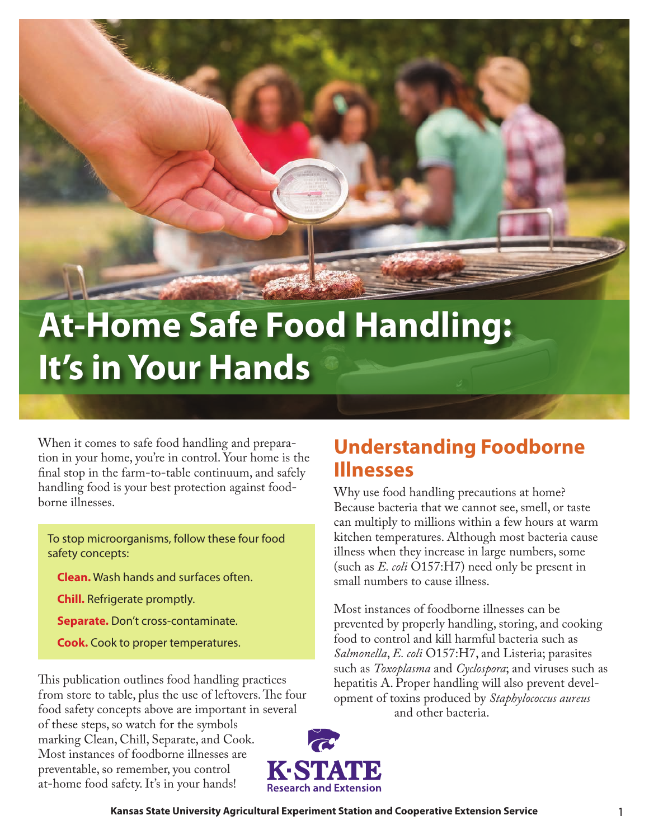

# **At-Home Safe Food Handling: It's in Your Hands**

When it comes to safe food handling and preparation in your home, you're in control. Your home is the final stop in the farm-to-table continuum, and safely handling food is your best protection against foodborne illnesses.

To stop microorganisms, follow these four food safety concepts:

**Clean.** Wash hands and surfaces often.

**Chill.** Refrigerate promptly.

**Separate.** Don't cross-contaminate.

**Cook.** Cook to proper temperatures.

This publication outlines food handling practices from store to table, plus the use of leftovers. The four food safety concepts above are important in several of these steps, so watch for the symbols marking Clean, Chill, Separate, and Cook. Most instances of foodborne illnesses are preventable, so remember, you control at-home food safety. It's in your hands!

# **Understanding Foodborne Illnesses**

Why use food handling precautions at home? Because bacteria that we cannot see, smell, or taste can multiply to millions within a few hours at warm kitchen temperatures. Although most bacteria cause illness when they increase in large numbers, some (such as *E. coli* O157:H7) need only be present in small numbers to cause illness.

Most instances of foodborne illnesses can be prevented by properly handling, storing, and cooking food to control and kill harmful bacteria such as *Salmonella*, *E. coli* O157:H7, and Listeria; parasites such as *Toxoplasma* and *Cyclospora*; and viruses such as hepatitis A. Proper handling will also prevent development of toxins produced by *Staphylococcus aureus* and other bacteria.

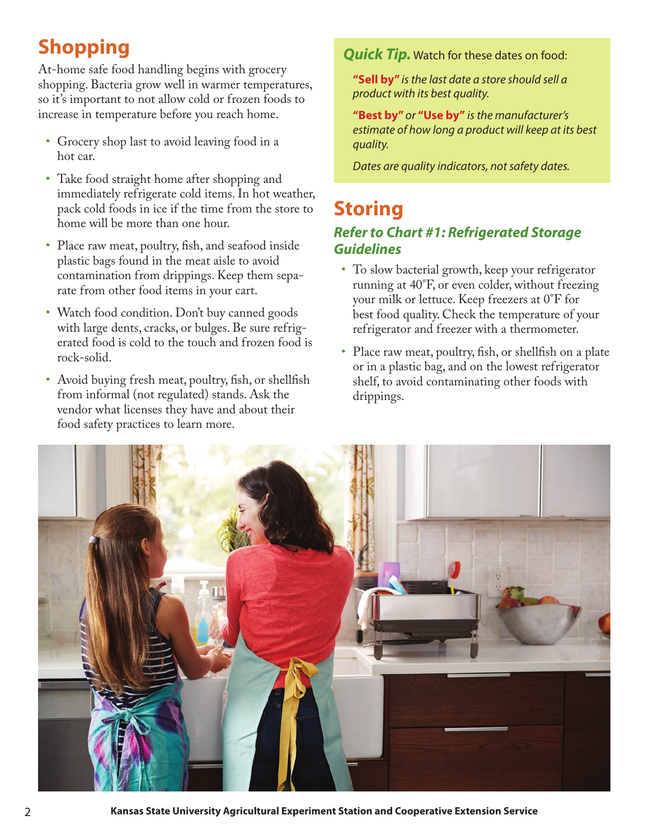# **Shopping**

At-home safe food handling begins with grocery shopping. Bacteria grow well in warmer temperatures, so it's important to not allow cold or frozen foods to increase in temperature before you reach home.

- Grocery shop last to avoid leaving food in a hot car.
- Take food straight home after shopping and immediately refrigerate cold items. In hot weather, pack cold foods in ice if the time from the store to home will be more than one hour.
- Place raw meat, poultry, fish, and seafood inside plastic bags found in the meat aisle to avoid contamination from drippings. Keep them separate from other food items in your cart.
- Watch food condition. Don't buy canned goods with large dents, cracks, or bulges. Be sure refrigerated food is cold to the touch and frozen food is rock-solid.
- Avoid buying fresh meat, poultry, fish, or shellfish from informal (not regulated) stands. Ask the vendor what licenses they have and about their food safety practices to learn more.

### *Quick Tip.* Watch for these dates on food:

**"Sell by"** *is the last date a store should sell a product with its best quality.* 

**"Best by"** *or* **"Use by"** *is the manufacturer's estimate of how long a product will keep at its best quality.*

*Dates are quality indicators, not safety dates.*

## **Storing** *Refer to Chart #1: Refrigerated Storage Guidelines*

- To slow bacterial growth, keep your refrigerator running at 40°F, or even colder, without freezing your milk or lettuce. Keep freezers at 0°F for best food quality. Check the temperature of your refrigerator and freezer with a thermometer.
- Place raw meat, poultry, fish, or shellfish on a plate or in a plastic bag, and on the lowest refrigerator shelf, to avoid contaminating other foods with drippings.



2 **Kansas State University Agricultural Experiment Station and Cooperative Extension Service**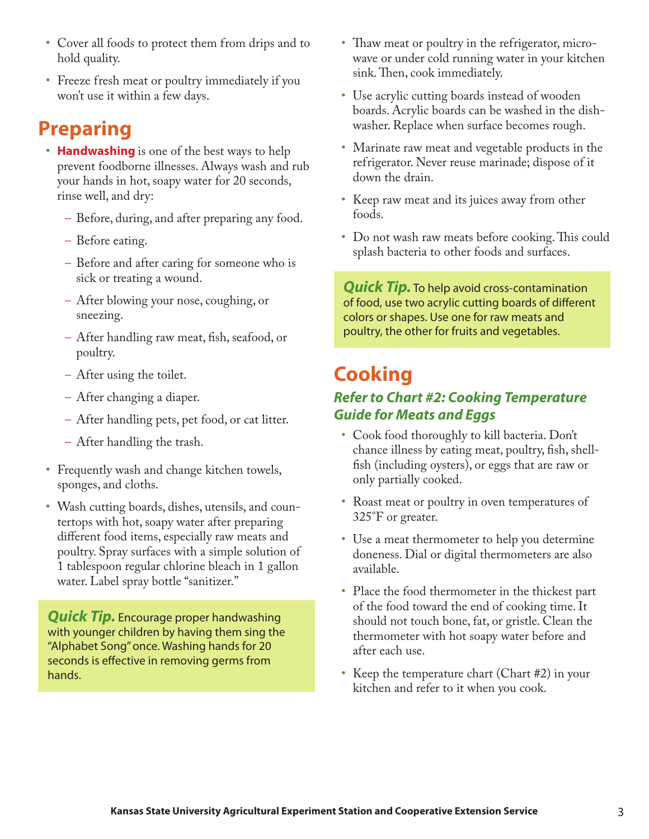- Cover all foods to protect them from drips and to hold quality.
- Freeze fresh meat or poultry immediately if you won't use it within a few days.

# **Preparing**

- **Handwashing** is one of the best ways to help prevent foodborne illnesses. Always wash and rub your hands in hot, soapy water for 20 seconds, rinse well, and dry:
	- Before, during, and after preparing any food.
	- Before eating.
	- Before and after caring for someone who is sick or treating a wound.
	- After blowing your nose, coughing, or sneezing.
	- After handling raw meat, fish, seafood, or poultry.
	- After using the toilet.
	- After changing a diaper.
	- After handling pets, pet food, or cat litter.
	- After handling the trash.
- Frequently wash and change kitchen towels, sponges, and cloths.
- Wash cutting boards, dishes, utensils, and countertops with hot, soapy water after preparing different food items, especially raw meats and poultry. Spray surfaces with a simple solution of 1 tablespoon regular chlorine bleach in 1 gallon water. Label spray bottle "sanitizer."

*Quick Tip.* Encourage proper handwashing with younger children by having them sing the "Alphabet Song" once. Washing hands for 20 seconds is effective in removing germs from hands.

- Thaw meat or poultry in the refrigerator, microwave or under cold running water in your kitchen sink. Then, cook immediately.
- Use acrylic cutting boards instead of wooden boards. Acrylic boards can be washed in the dishwasher. Replace when surface becomes rough.
- Marinate raw meat and vegetable products in the refrigerator. Never reuse marinade; dispose of it down the drain.
- Keep raw meat and its juices away from other foods.
- Do not wash raw meats before cooking. This could splash bacteria to other foods and surfaces.

*Quick Tip.* To help avoid cross-contamination of food, use two acrylic cutting boards of different colors or shapes. Use one for raw meats and poultry, the other for fruits and vegetables.

# **Cooking**

### *Refer to Chart #2: Cooking Temperature Guide for Meats and Eggs*

- Cook food thoroughly to kill bacteria. Don't chance illness by eating meat, poultry, fish, shellfish (including oysters), or eggs that are raw or only partially cooked.
- Roast meat or poultry in oven temperatures of 325°F or greater.
- Use a meat thermometer to help you determine doneness. Dial or digital thermometers are also available.
- Place the food thermometer in the thickest part of the food toward the end of cooking time. It should not touch bone, fat, or gristle. Clean the thermometer with hot soapy water before and after each use.
- Keep the temperature chart (Chart #2) in your kitchen and refer to it when you cook.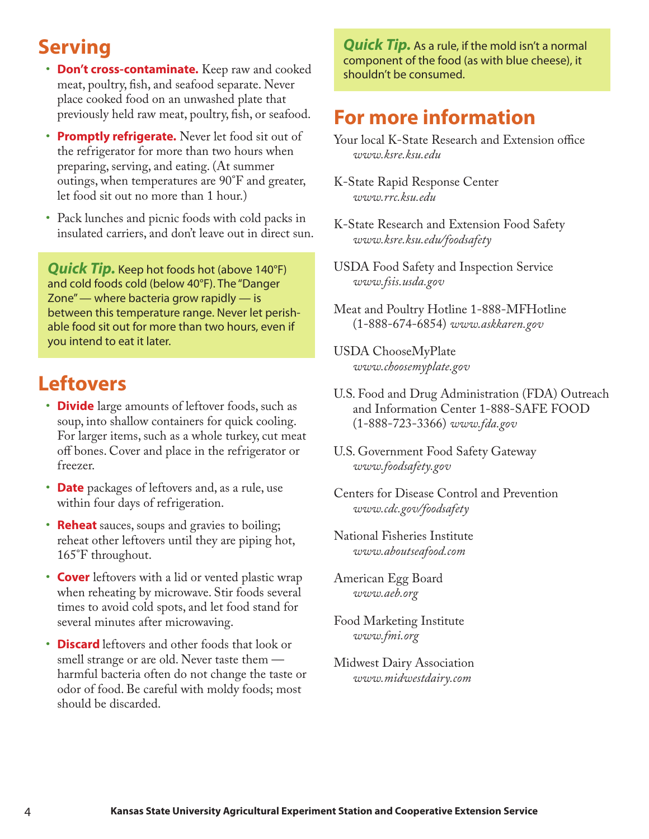# **Serving**

- **Don't cross-contaminate.** Keep raw and cooked meat, poultry, fish, and seafood separate. Never place cooked food on an unwashed plate that previously held raw meat, poultry, fish, or seafood.
- **Promptly refrigerate.** Never let food sit out of the refrigerator for more than two hours when preparing, serving, and eating. (At summer outings, when temperatures are 90°F and greater, let food sit out no more than 1 hour.)
- Pack lunches and picnic foods with cold packs in insulated carriers, and don't leave out in direct sun.

*Quick Tip.* Keep hot foods hot (above 140°F) and cold foods cold (below 40°F). The "Danger Zone" — where bacteria grow rapidly — is between this temperature range. Never let perishable food sit out for more than two hours, even if you intend to eat it later.

# **Leftovers**

- **Divide** large amounts of leftover foods, such as soup, into shallow containers for quick cooling. For larger items, such as a whole turkey, cut meat off bones. Cover and place in the refrigerator or freezer.
- **Date** packages of leftovers and, as a rule, use within four days of refrigeration.
- **Reheat** sauces, soups and gravies to boiling; reheat other leftovers until they are piping hot, 165°F throughout.
- **Cover** leftovers with a lid or vented plastic wrap when reheating by microwave. Stir foods several times to avoid cold spots, and let food stand for several minutes after microwaving.
- **Discard** leftovers and other foods that look or smell strange or are old. Never taste them harmful bacteria often do not change the taste or odor of food. Be careful with moldy foods; most should be discarded.

*Quick Tip.* As a rule, if the mold isn't a normal component of the food (as with blue cheese), it shouldn't be consumed.

# **For more information**

- Your local K-State Research and Extension office *[www.ksre.ksu.edu](http://www.ksre.ksu.edu)*
- K-State Rapid Response Center *[www.rrc.ksu.edu](http://www.rrc.ksu.edu)*
- K-State Research and Extension Food Safety *[www.ksre.ksu.edu/foodsafety](http://www.ksre.ksu.edu/foodsafety)*
- USDA Food Safety and Inspection Service *[www.fsis.usda.gov](http://www.fsis.usda.gov)*
- Meat and Poultry Hotline 1-888-MFHotline (1-888-674-6854) *[www.askkaren.gov](http://www.askkaren.gov)*
- USDA ChooseMyPlate *[www.choosemyplate.gov](http://www.choosemyplate.gov)*
- U.S. Food and Drug Administration (FDA) Outreach and Information Center 1-888-SAFE FOOD (1-888-723-3366) *[www.fda.gov](http://www.fda.gov)*
- U.S. Government Food Safety Gateway *[www.foodsafety.gov](http://www.foodsafety.gov)*
- Centers for Disease Control and Prevention *[www.cdc.gov/foodsafety](http://www.cdc.gov/foodsafety)*
- National Fisheries Institute *[www.aboutseafood.com](http://www.aboutseafood.com)*
- American Egg Board *[www.aeb.org](http://www.aeb.org)*
- Food Marketing Institute *[www.fmi.org](http://www.fmi.org)*
- Midwest Dairy Association *[www.midwestdairy.com](http://www.midwestdairy.com)*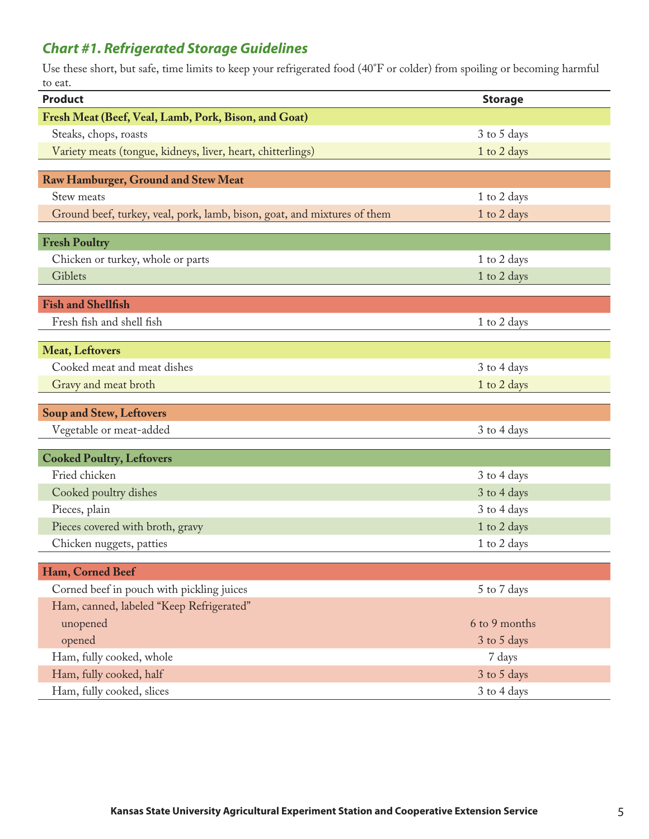## *Chart #1. Refrigerated Storage Guidelines*

Use these short, but safe, time limits to keep your refrigerated food (40°F or colder) from spoiling or becoming harmful to eat.

| <b>Product</b>                                                           | <b>Storage</b> |
|--------------------------------------------------------------------------|----------------|
| Fresh Meat (Beef, Veal, Lamb, Pork, Bison, and Goat)                     |                |
| Steaks, chops, roasts                                                    | 3 to 5 days    |
| Variety meats (tongue, kidneys, liver, heart, chitterlings)              | 1 to 2 days    |
|                                                                          |                |
| <b>Raw Hamburger, Ground and Stew Meat</b>                               |                |
| Stew meats                                                               | 1 to 2 days    |
| Ground beef, turkey, veal, pork, lamb, bison, goat, and mixtures of them | 1 to 2 days    |
| <b>Fresh Poultry</b>                                                     |                |
| Chicken or turkey, whole or parts                                        | 1 to 2 days    |
| Giblets                                                                  | 1 to 2 days    |
|                                                                          |                |
| <b>Fish and Shellfish</b>                                                |                |
| Fresh fish and shell fish                                                | 1 to 2 days    |
| <b>Meat, Leftovers</b>                                                   |                |
| Cooked meat and meat dishes                                              | 3 to 4 days    |
| Gravy and meat broth                                                     | 1 to 2 days    |
|                                                                          |                |
| <b>Soup and Stew, Leftovers</b>                                          |                |
| Vegetable or meat-added                                                  | 3 to 4 days    |
| <b>Cooked Poultry, Leftovers</b>                                         |                |
| Fried chicken                                                            | 3 to 4 days    |
| Cooked poultry dishes                                                    | 3 to 4 days    |
| Pieces, plain                                                            | 3 to 4 days    |
| Pieces covered with broth, gravy                                         | 1 to 2 days    |
| Chicken nuggets, patties                                                 | 1 to 2 days    |
|                                                                          |                |
| Ham, Corned Beef                                                         |                |
| Corned beef in pouch with pickling juices                                | 5 to 7 days    |
| Ham, canned, labeled "Keep Refrigerated"                                 |                |
| unopened                                                                 | 6 to 9 months  |
| opened                                                                   | 3 to 5 days    |
| Ham, fully cooked, whole                                                 | 7 days         |
| Ham, fully cooked, half                                                  | 3 to 5 days    |
| Ham, fully cooked, slices                                                | 3 to 4 days    |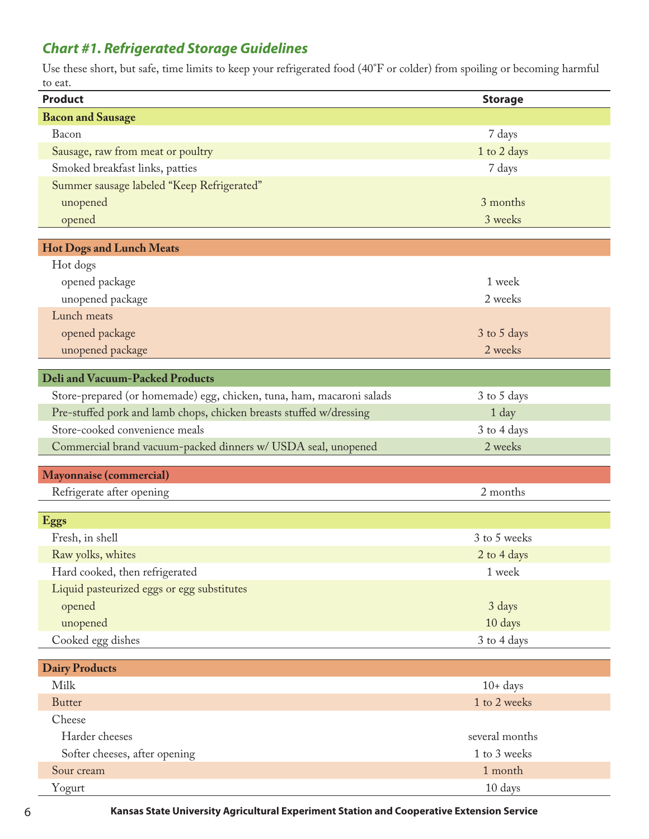## *Chart #1. Refrigerated Storage Guidelines*

Use these short, but safe, time limits to keep your refrigerated food (40°F or colder) from spoiling or becoming harmful to eat.

| <b>Bacon and Sausage</b><br>Bacon<br>7 days<br>Sausage, raw from meat or poultry<br>1 to 2 days<br>Smoked breakfast links, patties<br>7 days<br>Summer sausage labeled "Keep Refrigerated"<br>unopened<br>3 months<br>3 weeks<br>opened<br><b>Hot Dogs and Lunch Meats</b><br>Hot dogs<br>opened package<br>1 week<br>unopened package<br>2 weeks<br>Lunch meats<br>opened package<br>3 to 5 days<br>unopened package<br>2 weeks<br><b>Deli and Vacuum-Packed Products</b><br>Store-prepared (or homemade) egg, chicken, tuna, ham, macaroni salads<br>3 to 5 days<br>Pre-stuffed pork and lamb chops, chicken breasts stuffed w/dressing<br>1 day<br>Store-cooked convenience meals<br>3 to 4 days<br>Commercial brand vacuum-packed dinners w/ USDA seal, unopened<br>2 weeks<br>Mayonnaise (commercial)<br>Refrigerate after opening<br>2 months<br><b>Eggs</b><br>Fresh, in shell<br>3 to 5 weeks<br>Raw yolks, whites<br>2 to 4 days<br>Hard cooked, then refrigerated<br>1 week<br>Liquid pasteurized eggs or egg substitutes |
|-------------------------------------------------------------------------------------------------------------------------------------------------------------------------------------------------------------------------------------------------------------------------------------------------------------------------------------------------------------------------------------------------------------------------------------------------------------------------------------------------------------------------------------------------------------------------------------------------------------------------------------------------------------------------------------------------------------------------------------------------------------------------------------------------------------------------------------------------------------------------------------------------------------------------------------------------------------------------------------------------------------------------------------|
|                                                                                                                                                                                                                                                                                                                                                                                                                                                                                                                                                                                                                                                                                                                                                                                                                                                                                                                                                                                                                                     |
|                                                                                                                                                                                                                                                                                                                                                                                                                                                                                                                                                                                                                                                                                                                                                                                                                                                                                                                                                                                                                                     |
|                                                                                                                                                                                                                                                                                                                                                                                                                                                                                                                                                                                                                                                                                                                                                                                                                                                                                                                                                                                                                                     |
|                                                                                                                                                                                                                                                                                                                                                                                                                                                                                                                                                                                                                                                                                                                                                                                                                                                                                                                                                                                                                                     |
|                                                                                                                                                                                                                                                                                                                                                                                                                                                                                                                                                                                                                                                                                                                                                                                                                                                                                                                                                                                                                                     |
|                                                                                                                                                                                                                                                                                                                                                                                                                                                                                                                                                                                                                                                                                                                                                                                                                                                                                                                                                                                                                                     |
|                                                                                                                                                                                                                                                                                                                                                                                                                                                                                                                                                                                                                                                                                                                                                                                                                                                                                                                                                                                                                                     |
|                                                                                                                                                                                                                                                                                                                                                                                                                                                                                                                                                                                                                                                                                                                                                                                                                                                                                                                                                                                                                                     |
|                                                                                                                                                                                                                                                                                                                                                                                                                                                                                                                                                                                                                                                                                                                                                                                                                                                                                                                                                                                                                                     |
|                                                                                                                                                                                                                                                                                                                                                                                                                                                                                                                                                                                                                                                                                                                                                                                                                                                                                                                                                                                                                                     |
|                                                                                                                                                                                                                                                                                                                                                                                                                                                                                                                                                                                                                                                                                                                                                                                                                                                                                                                                                                                                                                     |
|                                                                                                                                                                                                                                                                                                                                                                                                                                                                                                                                                                                                                                                                                                                                                                                                                                                                                                                                                                                                                                     |
|                                                                                                                                                                                                                                                                                                                                                                                                                                                                                                                                                                                                                                                                                                                                                                                                                                                                                                                                                                                                                                     |
|                                                                                                                                                                                                                                                                                                                                                                                                                                                                                                                                                                                                                                                                                                                                                                                                                                                                                                                                                                                                                                     |
|                                                                                                                                                                                                                                                                                                                                                                                                                                                                                                                                                                                                                                                                                                                                                                                                                                                                                                                                                                                                                                     |
|                                                                                                                                                                                                                                                                                                                                                                                                                                                                                                                                                                                                                                                                                                                                                                                                                                                                                                                                                                                                                                     |
|                                                                                                                                                                                                                                                                                                                                                                                                                                                                                                                                                                                                                                                                                                                                                                                                                                                                                                                                                                                                                                     |
|                                                                                                                                                                                                                                                                                                                                                                                                                                                                                                                                                                                                                                                                                                                                                                                                                                                                                                                                                                                                                                     |
|                                                                                                                                                                                                                                                                                                                                                                                                                                                                                                                                                                                                                                                                                                                                                                                                                                                                                                                                                                                                                                     |
|                                                                                                                                                                                                                                                                                                                                                                                                                                                                                                                                                                                                                                                                                                                                                                                                                                                                                                                                                                                                                                     |
|                                                                                                                                                                                                                                                                                                                                                                                                                                                                                                                                                                                                                                                                                                                                                                                                                                                                                                                                                                                                                                     |
|                                                                                                                                                                                                                                                                                                                                                                                                                                                                                                                                                                                                                                                                                                                                                                                                                                                                                                                                                                                                                                     |
|                                                                                                                                                                                                                                                                                                                                                                                                                                                                                                                                                                                                                                                                                                                                                                                                                                                                                                                                                                                                                                     |
|                                                                                                                                                                                                                                                                                                                                                                                                                                                                                                                                                                                                                                                                                                                                                                                                                                                                                                                                                                                                                                     |
|                                                                                                                                                                                                                                                                                                                                                                                                                                                                                                                                                                                                                                                                                                                                                                                                                                                                                                                                                                                                                                     |
|                                                                                                                                                                                                                                                                                                                                                                                                                                                                                                                                                                                                                                                                                                                                                                                                                                                                                                                                                                                                                                     |
|                                                                                                                                                                                                                                                                                                                                                                                                                                                                                                                                                                                                                                                                                                                                                                                                                                                                                                                                                                                                                                     |
|                                                                                                                                                                                                                                                                                                                                                                                                                                                                                                                                                                                                                                                                                                                                                                                                                                                                                                                                                                                                                                     |
| opened<br>3 days                                                                                                                                                                                                                                                                                                                                                                                                                                                                                                                                                                                                                                                                                                                                                                                                                                                                                                                                                                                                                    |
| 10 days<br>unopened                                                                                                                                                                                                                                                                                                                                                                                                                                                                                                                                                                                                                                                                                                                                                                                                                                                                                                                                                                                                                 |
| Cooked egg dishes<br>3 to 4 days                                                                                                                                                                                                                                                                                                                                                                                                                                                                                                                                                                                                                                                                                                                                                                                                                                                                                                                                                                                                    |
| <b>Dairy Products</b>                                                                                                                                                                                                                                                                                                                                                                                                                                                                                                                                                                                                                                                                                                                                                                                                                                                                                                                                                                                                               |
| Milk<br>$10+ days$                                                                                                                                                                                                                                                                                                                                                                                                                                                                                                                                                                                                                                                                                                                                                                                                                                                                                                                                                                                                                  |
| 1 to 2 weeks<br><b>Butter</b>                                                                                                                                                                                                                                                                                                                                                                                                                                                                                                                                                                                                                                                                                                                                                                                                                                                                                                                                                                                                       |
| Cheese                                                                                                                                                                                                                                                                                                                                                                                                                                                                                                                                                                                                                                                                                                                                                                                                                                                                                                                                                                                                                              |
| Harder cheeses<br>several months                                                                                                                                                                                                                                                                                                                                                                                                                                                                                                                                                                                                                                                                                                                                                                                                                                                                                                                                                                                                    |
| Softer cheeses, after opening<br>1 to 3 weeks                                                                                                                                                                                                                                                                                                                                                                                                                                                                                                                                                                                                                                                                                                                                                                                                                                                                                                                                                                                       |
| 1 month<br>Sour cream                                                                                                                                                                                                                                                                                                                                                                                                                                                                                                                                                                                                                                                                                                                                                                                                                                                                                                                                                                                                               |
| 10 days<br>Yogurt                                                                                                                                                                                                                                                                                                                                                                                                                                                                                                                                                                                                                                                                                                                                                                                                                                                                                                                                                                                                                   |

6 **Kansas State University Agricultural Experiment Station and Cooperative Extension Service**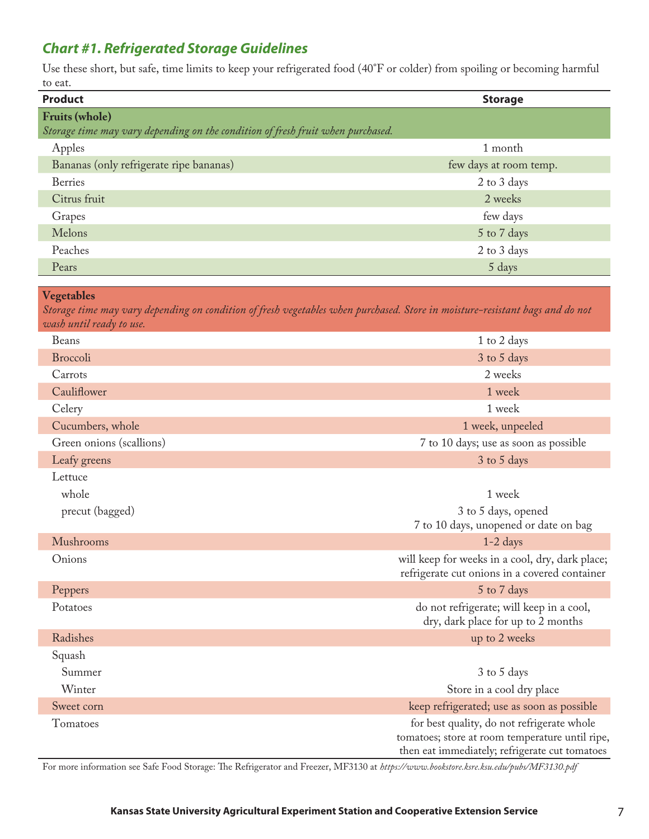## *Chart #1. Refrigerated Storage Guidelines*

Use these short, but safe, time limits to keep your refrigerated food (40°F or colder) from spoiling or becoming harmful to eat.

| <b>Product</b>                                                                                           | <b>Storage</b>         |
|----------------------------------------------------------------------------------------------------------|------------------------|
| <b>Fruits (whole)</b><br>Storage time may vary depending on the condition of fresh fruit when purchased. |                        |
| Apples                                                                                                   | 1 month                |
| Bananas (only refrigerate ripe bananas)                                                                  | few days at room temp. |
| <b>Berries</b>                                                                                           | 2 to 3 days            |
| Citrus fruit                                                                                             | 2 weeks                |
| Grapes                                                                                                   | few days               |
| Melons                                                                                                   | 5 to 7 days            |
| Peaches                                                                                                  | 2 to 3 days            |
| Pears                                                                                                    | 5 days                 |

#### **Vegetables**

*Storage time may vary depending on condition of fresh vegetables when purchased. Store in moisture-resistant bags and do not wash until ready to use.*

| Beans                    | 1 to 2 days                                                                                                                                     |  |  |
|--------------------------|-------------------------------------------------------------------------------------------------------------------------------------------------|--|--|
| <b>Broccoli</b>          | 3 to 5 days                                                                                                                                     |  |  |
| Carrots                  | 2 weeks                                                                                                                                         |  |  |
| Cauliflower              | 1 week                                                                                                                                          |  |  |
| Celery                   | 1 week                                                                                                                                          |  |  |
| Cucumbers, whole         | 1 week, unpeeled                                                                                                                                |  |  |
| Green onions (scallions) | 7 to 10 days; use as soon as possible                                                                                                           |  |  |
| Leafy greens             | 3 to 5 days                                                                                                                                     |  |  |
| Lettuce                  |                                                                                                                                                 |  |  |
| whole                    | 1 week                                                                                                                                          |  |  |
| precut (bagged)          | 3 to 5 days, opened<br>7 to 10 days, unopened or date on bag                                                                                    |  |  |
| Mushrooms                | $1-2$ days                                                                                                                                      |  |  |
| Onions                   | will keep for weeks in a cool, dry, dark place;<br>refrigerate cut onions in a covered container                                                |  |  |
| Peppers                  | 5 to 7 days                                                                                                                                     |  |  |
| Potatoes                 | do not refrigerate; will keep in a cool,<br>dry, dark place for up to 2 months                                                                  |  |  |
| Radishes                 | up to 2 weeks                                                                                                                                   |  |  |
| Squash                   |                                                                                                                                                 |  |  |
| Summer                   | 3 to 5 days                                                                                                                                     |  |  |
| Winter                   | Store in a cool dry place                                                                                                                       |  |  |
| Sweet corn               | keep refrigerated; use as soon as possible                                                                                                      |  |  |
| Tomatoes                 | for best quality, do not refrigerate whole<br>tomatoes; store at room temperature until ripe,<br>then eat immediately; refrigerate cut tomatoes |  |  |

For more information see Safe Food Storage: The Refrigerator and Freezer, MF3130 at *<https://www.bookstore.ksre.ksu.edu/pubs/MF3130.pdf>*